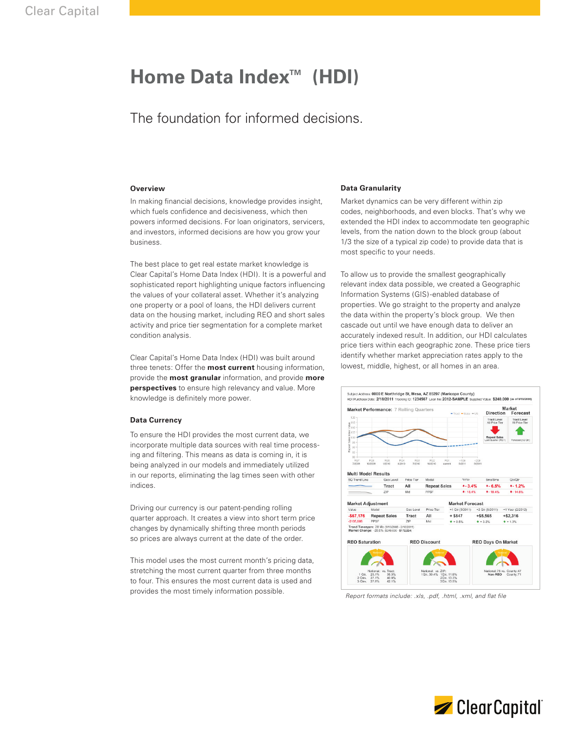# Home Data Index<sup>™</sup> (HDI)

# The foundation for informed decisions.

## **Overview**

In making financial decisions, knowledge provides insight, which fuels confidence and decisiveness, which then powers informed decisions. For loan originators, servicers, and investors, informed decisions are how you grow your business.

The best place to get real estate market knowledge is Clear Capital's Home Data Index (HDI). It is a powerful and sophisticated report highlighting unique factors influencing the values of your collateral asset. Whether it's analyzing one property or a pool of loans, the HDI delivers current data on the housing market, including REO and short sales activity and price tier segmentation for a complete market condition analysis.

Clear Capital's Home Data Index (HDI) was built around three tenets: Offer the **most current** housing information, provide the **most granular** information, and provide **more perspectives** to ensure high relevancy and value. More knowledge is definitely more power.

# **Data Currency**

To ensure the HDI provides the most current data, we incorporate multiple data sources with real time processing and filtering. This means as data is coming in, it is being analyzed in our models and immediately utilized in our reports, eliminating the lag times seen with other indices.

Driving our currency is our patent-pending rolling quarter approach. It creates a view into short term price changes by dynamically shifting three month periods so prices are always current at the date of the order.

This model uses the most current month's pricing data, stretching the most current quarter from three months to four. This ensures the most current data is used and provides the most timely information possible.

### **Data Granularity**

Market dynamics can be very different within zip codes, neighborhoods, and even blocks. That's why we extended the HDI index to accommodate ten geographic levels, from the nation down to the block group (about 1/3 the size of a typical zip code) to provide data that is most specific to your needs.

To allow us to provide the smallest geographically relevant index data possible, we created a Geographic Information Systems (GIS)-enabled database of properties. We go straight to the property and analyze the data within the property's block group. We then cascade out until we have enough data to deliver an accurately indexed result. In addition, our HDI calculates price tiers within each geographic zone. These price tiers identify whether market appreciation rates apply to the lowest, middle, highest, or all homes in an area.



*Report formats include: .xls, .pdf, .html, .xml, and flat file*